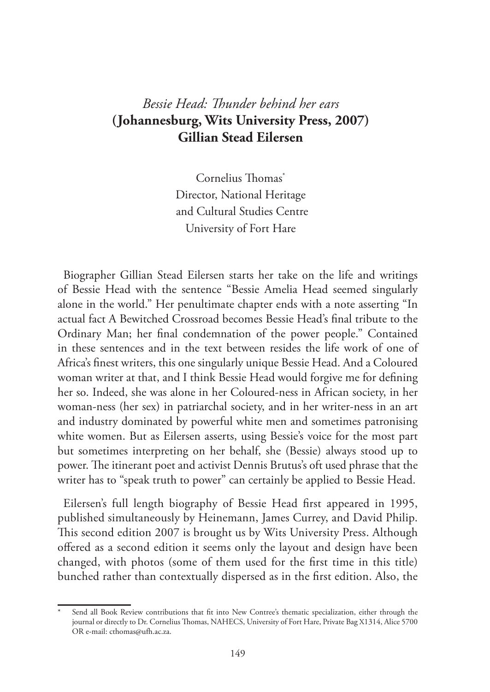## *Bessie Head: Thunder behind her ears* **(Johannesburg, Wits University Press, 2007) Gillian Stead Eilersen**

Cornelius Thomas\* Director, National Heritage and Cultural Studies Centre University of Fort Hare

Biographer Gillian Stead Eilersen starts her take on the life and writings of Bessie Head with the sentence "Bessie Amelia Head seemed singularly alone in the world." Her penultimate chapter ends with a note asserting "In actual fact A Bewitched Crossroad becomes Bessie Head's final tribute to the Ordinary Man; her final condemnation of the power people." Contained in these sentences and in the text between resides the life work of one of Africa's finest writers, this one singularly unique Bessie Head. And a Coloured woman writer at that, and I think Bessie Head would forgive me for defining her so. Indeed, she was alone in her Coloured-ness in African society, in her woman-ness (her sex) in patriarchal society, and in her writer-ness in an art and industry dominated by powerful white men and sometimes patronising white women. But as Eilersen asserts, using Bessie's voice for the most part but sometimes interpreting on her behalf, she (Bessie) always stood up to power. The itinerant poet and activist Dennis Brutus's oft used phrase that the writer has to "speak truth to power" can certainly be applied to Bessie Head.

Eilersen's full length biography of Bessie Head first appeared in 1995, published simultaneously by Heinemann, James Currey, and David Philip. This second edition 2007 is brought us by Wits University Press. Although offered as a second edition it seems only the layout and design have been changed, with photos (some of them used for the first time in this title) bunched rather than contextually dispersed as in the first edition. Also, the

Send all Book Review contributions that fit into New Contree's thematic specialization, either through the journal or directly to Dr. Cornelius Thomas, NAHECS, University of Fort Hare, Private Bag X1314, Alice 5700 OR e-mail: cthomas@ufh.ac.za.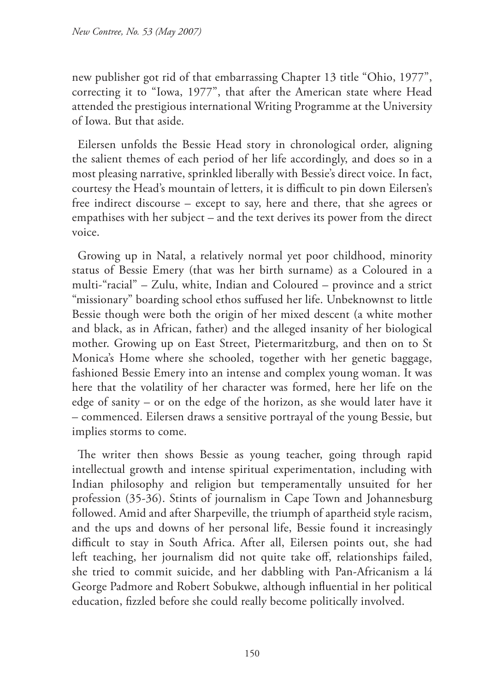new publisher got rid of that embarrassing Chapter 13 title "Ohio, 1977", correcting it to "Iowa, 1977", that after the American state where Head attended the prestigious international Writing Programme at the University of Iowa. But that aside.

Eilersen unfolds the Bessie Head story in chronological order, aligning the salient themes of each period of her life accordingly, and does so in a most pleasing narrative, sprinkled liberally with Bessie's direct voice. In fact, courtesy the Head's mountain of letters, it is difficult to pin down Eilersen's free indirect discourse – except to say, here and there, that she agrees or empathises with her subject – and the text derives its power from the direct voice.

Growing up in Natal, a relatively normal yet poor childhood, minority status of Bessie Emery (that was her birth surname) as a Coloured in a multi-"racial" – Zulu, white, Indian and Coloured – province and a strict "missionary" boarding school ethos suffused her life. Unbeknownst to little Bessie though were both the origin of her mixed descent (a white mother and black, as in African, father) and the alleged insanity of her biological mother. Growing up on East Street, Pietermaritzburg, and then on to St Monica's Home where she schooled, together with her genetic baggage, fashioned Bessie Emery into an intense and complex young woman. It was here that the volatility of her character was formed, here her life on the edge of sanity – or on the edge of the horizon, as she would later have it – commenced. Eilersen draws a sensitive portrayal of the young Bessie, but implies storms to come.

The writer then shows Bessie as young teacher, going through rapid intellectual growth and intense spiritual experimentation, including with Indian philosophy and religion but temperamentally unsuited for her profession (35-36). Stints of journalism in Cape Town and Johannesburg followed. Amid and after Sharpeville, the triumph of apartheid style racism, and the ups and downs of her personal life, Bessie found it increasingly difficult to stay in South Africa. After all, Eilersen points out, she had left teaching, her journalism did not quite take off, relationships failed, she tried to commit suicide, and her dabbling with Pan-Africanism a lá George Padmore and Robert Sobukwe, although influential in her political education, fizzled before she could really become politically involved.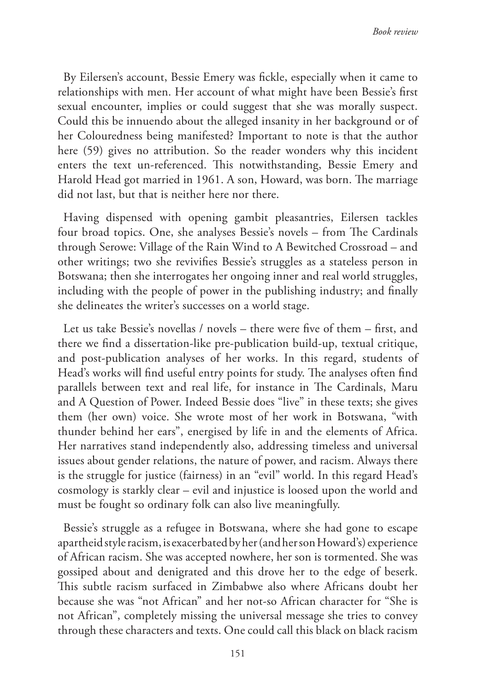By Eilersen's account, Bessie Emery was fickle, especially when it came to relationships with men. Her account of what might have been Bessie's first sexual encounter, implies or could suggest that she was morally suspect. Could this be innuendo about the alleged insanity in her background or of her Colouredness being manifested? Important to note is that the author here (59) gives no attribution. So the reader wonders why this incident enters the text un-referenced. This notwithstanding, Bessie Emery and Harold Head got married in 1961. A son, Howard, was born. The marriage did not last, but that is neither here nor there.

Having dispensed with opening gambit pleasantries, Eilersen tackles four broad topics. One, she analyses Bessie's novels – from The Cardinals through Serowe: Village of the Rain Wind to A Bewitched Crossroad – and other writings; two she revivifies Bessie's struggles as a stateless person in Botswana; then she interrogates her ongoing inner and real world struggles, including with the people of power in the publishing industry; and finally she delineates the writer's successes on a world stage.

Let us take Bessie's novellas / novels – there were five of them – first, and there we find a dissertation-like pre-publication build-up, textual critique, and post-publication analyses of her works. In this regard, students of Head's works will find useful entry points for study. The analyses often find parallels between text and real life, for instance in The Cardinals, Maru and A Question of Power. Indeed Bessie does "live" in these texts; she gives them (her own) voice. She wrote most of her work in Botswana, "with thunder behind her ears", energised by life in and the elements of Africa. Her narratives stand independently also, addressing timeless and universal issues about gender relations, the nature of power, and racism. Always there is the struggle for justice (fairness) in an "evil" world. In this regard Head's cosmology is starkly clear – evil and injustice is loosed upon the world and must be fought so ordinary folk can also live meaningfully.

Bessie's struggle as a refugee in Botswana, where she had gone to escape apartheid style racism, is exacerbated by her (and her son Howard's) experience of African racism. She was accepted nowhere, her son is tormented. She was gossiped about and denigrated and this drove her to the edge of beserk. This subtle racism surfaced in Zimbabwe also where Africans doubt her because she was "not African" and her not-so African character for "She is not African", completely missing the universal message she tries to convey through these characters and texts. One could call this black on black racism